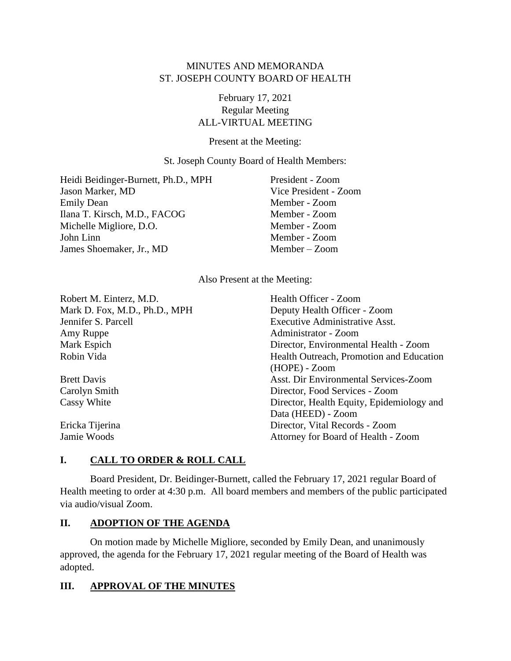## MINUTES AND MEMORANDA ST. JOSEPH COUNTY BOARD OF HEALTH

# February 17, 2021 Regular Meeting ALL-VIRTUAL MEETING

Present at the Meeting:

St. Joseph County Board of Health Members:

Heidi Beidinger-Burnett, Ph.D., MPH President - Zoom Jason Marker, MD Vice President - Zoom Emily Dean Member - Zoom Ilana T. Kirsch, M.D., FACOG Member - Zoom Michelle Migliore, D.O. Member - Zoom John Linn Member - Zoom James Shoemaker, Jr., MD Member – Zoom

Also Present at the Meeting:

| Robert M. Einterz, M.D.       | Health Officer - Zoom                     |
|-------------------------------|-------------------------------------------|
| Mark D. Fox, M.D., Ph.D., MPH | Deputy Health Officer - Zoom              |
| Jennifer S. Parcell           | <b>Executive Administrative Asst.</b>     |
| Amy Ruppe                     | Administrator - Zoom                      |
| Mark Espich                   | Director, Environmental Health - Zoom     |
| Robin Vida                    | Health Outreach, Promotion and Education  |
|                               | (HOPE) - Zoom                             |
| <b>Brett Davis</b>            | Asst. Dir Environmental Services-Zoom     |
| Carolyn Smith                 | Director, Food Services - Zoom            |
| Cassy White                   | Director, Health Equity, Epidemiology and |
|                               | Data (HEED) - Zoom                        |
| Ericka Tijerina               | Director, Vital Records - Zoom            |
| Jamie Woods                   | Attorney for Board of Health - Zoom       |

# **I. CALL TO ORDER & ROLL CALL**

Board President, Dr. Beidinger-Burnett, called the February 17, 2021 regular Board of Health meeting to order at 4:30 p.m. All board members and members of the public participated via audio/visual Zoom.

## **II. ADOPTION OF THE AGENDA**

On motion made by Michelle Migliore, seconded by Emily Dean, and unanimously approved, the agenda for the February 17, 2021 regular meeting of the Board of Health was adopted.

## **III. APPROVAL OF THE MINUTES**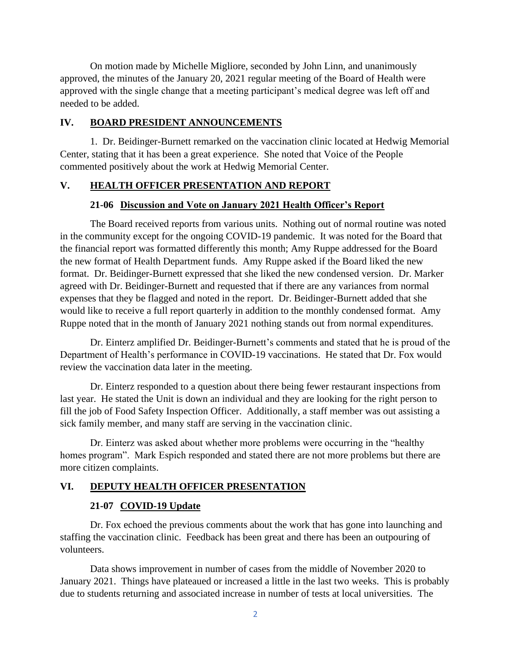On motion made by Michelle Migliore, seconded by John Linn, and unanimously approved, the minutes of the January 20, 2021 regular meeting of the Board of Health were approved with the single change that a meeting participant's medical degree was left off and needed to be added.

#### **IV. BOARD PRESIDENT ANNOUNCEMENTS**

1. Dr. Beidinger-Burnett remarked on the vaccination clinic located at Hedwig Memorial Center, stating that it has been a great experience. She noted that Voice of the People commented positively about the work at Hedwig Memorial Center.

#### **V. HEALTH OFFICER PRESENTATION AND REPORT**

#### **21-06 Discussion and Vote on January 2021 Health Officer's Report**

The Board received reports from various units. Nothing out of normal routine was noted in the community except for the ongoing COVID-19 pandemic. It was noted for the Board that the financial report was formatted differently this month; Amy Ruppe addressed for the Board the new format of Health Department funds. Amy Ruppe asked if the Board liked the new format. Dr. Beidinger-Burnett expressed that she liked the new condensed version. Dr. Marker agreed with Dr. Beidinger-Burnett and requested that if there are any variances from normal expenses that they be flagged and noted in the report. Dr. Beidinger-Burnett added that she would like to receive a full report quarterly in addition to the monthly condensed format. Amy Ruppe noted that in the month of January 2021 nothing stands out from normal expenditures.

Dr. Einterz amplified Dr. Beidinger-Burnett's comments and stated that he is proud of the Department of Health's performance in COVID-19 vaccinations. He stated that Dr. Fox would review the vaccination data later in the meeting.

Dr. Einterz responded to a question about there being fewer restaurant inspections from last year. He stated the Unit is down an individual and they are looking for the right person to fill the job of Food Safety Inspection Officer. Additionally, a staff member was out assisting a sick family member, and many staff are serving in the vaccination clinic.

Dr. Einterz was asked about whether more problems were occurring in the "healthy homes program". Mark Espich responded and stated there are not more problems but there are more citizen complaints.

#### **VI. DEPUTY HEALTH OFFICER PRESENTATION**

#### **21-07 COVID-19 Update**

Dr. Fox echoed the previous comments about the work that has gone into launching and staffing the vaccination clinic. Feedback has been great and there has been an outpouring of volunteers.

Data shows improvement in number of cases from the middle of November 2020 to January 2021. Things have plateaued or increased a little in the last two weeks. This is probably due to students returning and associated increase in number of tests at local universities. The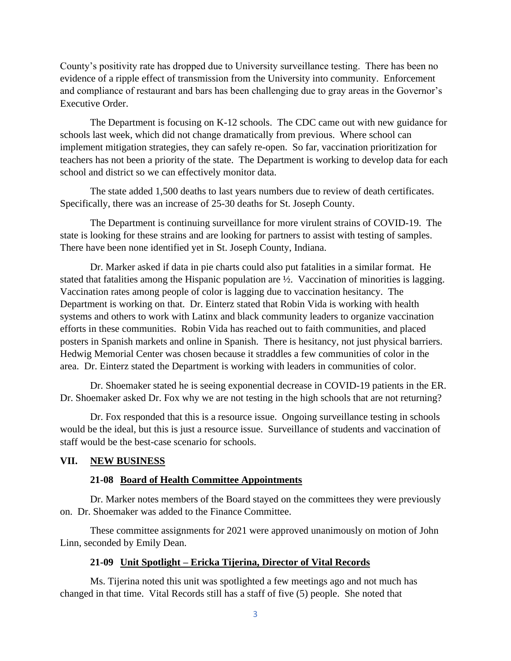County's positivity rate has dropped due to University surveillance testing. There has been no evidence of a ripple effect of transmission from the University into community. Enforcement and compliance of restaurant and bars has been challenging due to gray areas in the Governor's Executive Order.

The Department is focusing on K-12 schools. The CDC came out with new guidance for schools last week, which did not change dramatically from previous. Where school can implement mitigation strategies, they can safely re-open. So far, vaccination prioritization for teachers has not been a priority of the state. The Department is working to develop data for each school and district so we can effectively monitor data.

The state added 1,500 deaths to last years numbers due to review of death certificates. Specifically, there was an increase of 25-30 deaths for St. Joseph County.

The Department is continuing surveillance for more virulent strains of COVID-19. The state is looking for these strains and are looking for partners to assist with testing of samples. There have been none identified yet in St. Joseph County, Indiana.

Dr. Marker asked if data in pie charts could also put fatalities in a similar format. He stated that fatalities among the Hispanic population are ½. Vaccination of minorities is lagging. Vaccination rates among people of color is lagging due to vaccination hesitancy. The Department is working on that. Dr. Einterz stated that Robin Vida is working with health systems and others to work with Latinx and black community leaders to organize vaccination efforts in these communities. Robin Vida has reached out to faith communities, and placed posters in Spanish markets and online in Spanish. There is hesitancy, not just physical barriers. Hedwig Memorial Center was chosen because it straddles a few communities of color in the area. Dr. Einterz stated the Department is working with leaders in communities of color.

Dr. Shoemaker stated he is seeing exponential decrease in COVID-19 patients in the ER. Dr. Shoemaker asked Dr. Fox why we are not testing in the high schools that are not returning?

Dr. Fox responded that this is a resource issue. Ongoing surveillance testing in schools would be the ideal, but this is just a resource issue. Surveillance of students and vaccination of staff would be the best-case scenario for schools.

#### **VII. NEW BUSINESS**

#### **21-08 Board of Health Committee Appointments**

Dr. Marker notes members of the Board stayed on the committees they were previously on. Dr. Shoemaker was added to the Finance Committee.

These committee assignments for 2021 were approved unanimously on motion of John Linn, seconded by Emily Dean.

#### **21-09 Unit Spotlight – Ericka Tijerina, Director of Vital Records**

Ms. Tijerina noted this unit was spotlighted a few meetings ago and not much has changed in that time. Vital Records still has a staff of five (5) people. She noted that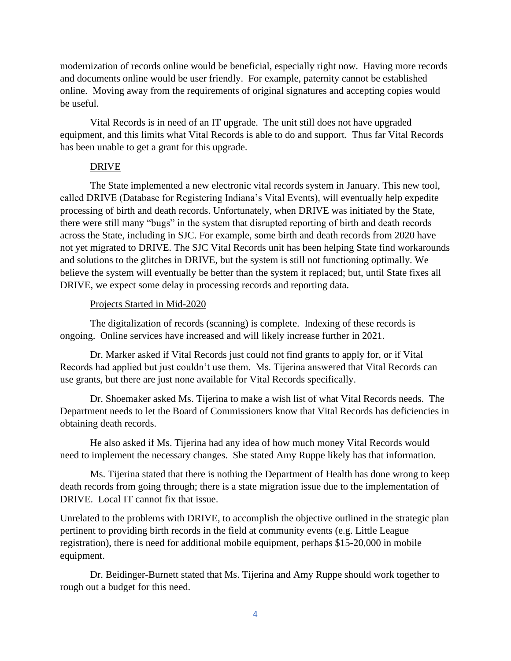modernization of records online would be beneficial, especially right now. Having more records and documents online would be user friendly. For example, paternity cannot be established online. Moving away from the requirements of original signatures and accepting copies would be useful.

Vital Records is in need of an IT upgrade. The unit still does not have upgraded equipment, and this limits what Vital Records is able to do and support. Thus far Vital Records has been unable to get a grant for this upgrade.

#### DRIVE

The State implemented a new electronic vital records system in January. This new tool, called DRIVE (Database for Registering Indiana's Vital Events), will eventually help expedite processing of birth and death records. Unfortunately, when DRIVE was initiated by the State, there were still many "bugs" in the system that disrupted reporting of birth and death records across the State, including in SJC. For example, some birth and death records from 2020 have not yet migrated to DRIVE. The SJC Vital Records unit has been helping State find workarounds and solutions to the glitches in DRIVE, but the system is still not functioning optimally. We believe the system will eventually be better than the system it replaced; but, until State fixes all DRIVE, we expect some delay in processing records and reporting data.

#### Projects Started in Mid-2020

The digitalization of records (scanning) is complete. Indexing of these records is ongoing. Online services have increased and will likely increase further in 2021.

Dr. Marker asked if Vital Records just could not find grants to apply for, or if Vital Records had applied but just couldn't use them. Ms. Tijerina answered that Vital Records can use grants, but there are just none available for Vital Records specifically.

Dr. Shoemaker asked Ms. Tijerina to make a wish list of what Vital Records needs. The Department needs to let the Board of Commissioners know that Vital Records has deficiencies in obtaining death records.

He also asked if Ms. Tijerina had any idea of how much money Vital Records would need to implement the necessary changes. She stated Amy Ruppe likely has that information.

Ms. Tijerina stated that there is nothing the Department of Health has done wrong to keep death records from going through; there is a state migration issue due to the implementation of DRIVE. Local IT cannot fix that issue.

Unrelated to the problems with DRIVE, to accomplish the objective outlined in the strategic plan pertinent to providing birth records in the field at community events (e.g. Little League registration), there is need for additional mobile equipment, perhaps \$15-20,000 in mobile equipment.

Dr. Beidinger-Burnett stated that Ms. Tijerina and Amy Ruppe should work together to rough out a budget for this need.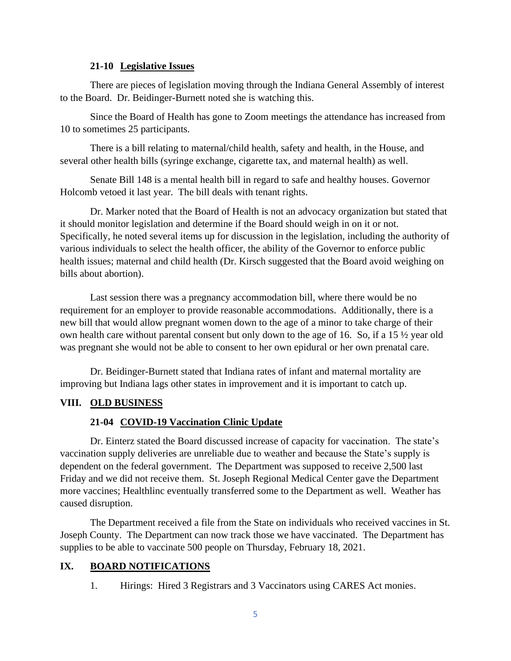#### **21-10 Legislative Issues**

There are pieces of legislation moving through the Indiana General Assembly of interest to the Board. Dr. Beidinger-Burnett noted she is watching this.

Since the Board of Health has gone to Zoom meetings the attendance has increased from 10 to sometimes 25 participants.

There is a bill relating to maternal/child health, safety and health, in the House, and several other health bills (syringe exchange, cigarette tax, and maternal health) as well.

Senate Bill 148 is a mental health bill in regard to safe and healthy houses. Governor Holcomb vetoed it last year. The bill deals with tenant rights.

Dr. Marker noted that the Board of Health is not an advocacy organization but stated that it should monitor legislation and determine if the Board should weigh in on it or not. Specifically, he noted several items up for discussion in the legislation, including the authority of various individuals to select the health officer, the ability of the Governor to enforce public health issues; maternal and child health (Dr. Kirsch suggested that the Board avoid weighing on bills about abortion).

Last session there was a pregnancy accommodation bill, where there would be no requirement for an employer to provide reasonable accommodations. Additionally, there is a new bill that would allow pregnant women down to the age of a minor to take charge of their own health care without parental consent but only down to the age of 16. So, if a 15 ½ year old was pregnant she would not be able to consent to her own epidural or her own prenatal care.

Dr. Beidinger-Burnett stated that Indiana rates of infant and maternal mortality are improving but Indiana lags other states in improvement and it is important to catch up.

### **VIII. OLD BUSINESS**

### **21-04 COVID-19 Vaccination Clinic Update**

Dr. Einterz stated the Board discussed increase of capacity for vaccination. The state's vaccination supply deliveries are unreliable due to weather and because the State's supply is dependent on the federal government. The Department was supposed to receive 2,500 last Friday and we did not receive them. St. Joseph Regional Medical Center gave the Department more vaccines; Healthlinc eventually transferred some to the Department as well. Weather has caused disruption.

The Department received a file from the State on individuals who received vaccines in St. Joseph County. The Department can now track those we have vaccinated. The Department has supplies to be able to vaccinate 500 people on Thursday, February 18, 2021.

## **IX. BOARD NOTIFICATIONS**

1. Hirings: Hired 3 Registrars and 3 Vaccinators using CARES Act monies.